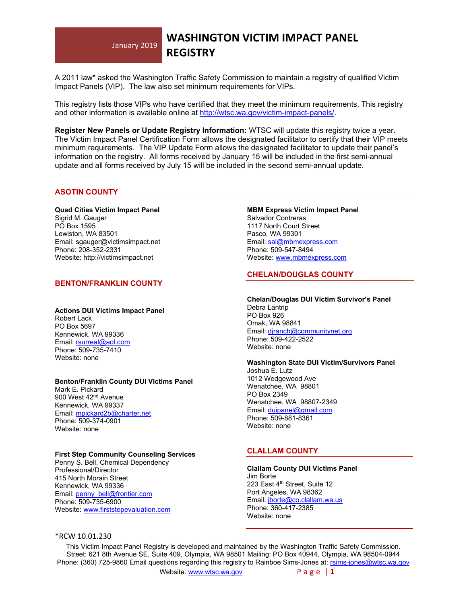## January 2019 **WASHINGTON VICTIM IMPACT PANEL REGISTRY**

A 2011 law\* asked the Washington Traffic Safety Commission to maintain a registry of qualified Victim Impact Panels (VIP). The law also set minimum requirements for VIPs.

This registry lists those VIPs who have certified that they meet the minimum requirements. This registry and other information is available online at<http://wtsc.wa.gov/victim-impact-panels/>.

**Register New Panels or Update Registry Information:** WTSC will update this registry twice a year. The Victim Impact Panel Certification Form allows the designated facilitator to certify that their VIP meets minimum requirements. The VIP Update Form allows the designated facilitator to update their panel's information on the registry. All forms received by January 15 will be included in the first semi-annual update and all forms received by July 15 will be included in the second semi-annual update.

#### **ASOTIN COUNTY**

**Quad Cities Victim Impact Panel** Sigrid M. Gauger PO Box 1595 Lewiston, WA 83501 Email: sgauger@victimsimpact.net Phone: 208-352-2331 Website: http://victimsimpact.net

#### **BENTON/FRANKLIN COUNTY**

#### **Actions DUI Victims Impact Panel**

Robert Lack PO Box 5697 Kennewick, WA 99336 Email: [rsurreal@aol.com](mailto:rsurreal@aol.com) Phone: 509-735-7410 Website: none

#### **Benton/Franklin County DUI Victims Panel**

Mark E. Pickard 900 West 42<sup>nd</sup> Avenue Kennewick, WA 99337 Email: [mpickard2b@charter.net](mailto:mpickard2b@charter.net) Phone: 509-374-0901 Website: none

#### **First Step Community Counseling Services**

Penny S. Bell, Chemical Dependency Professional/Director 415 North Morain Street Kennewick, WA 99336 Email: [penny\\_bell@frontier.com](mailto:penny_bell@frontier.com) Phone: 509-735-6900 Website: [www.firststepevaluation.com](http://www.firststepevaluation.com/)

#### **MBM Express Victim Impact Panel** Salvador Contreras 1117 North Court Street Pasco, WA 99301 Email: [sal@mbmexpress.com](mailto:sal@mbmexpress.com) Phone: 509-547-8494 Website: [www.mbmexpress.com](http://www.mbmexpress.com/)

# **CHELAN/DOUGLAS COUNTY**

#### **Chelan/Douglas DUI Victim Survivor's Panel** Debra Lantrip PO Box 926 Omak, WA 98841 Email: [djranch@communitynet.org](mailto:djranch@communitynet.org) Phone: 509-422-2522 Website: none

#### **Washington State DUI Victim/Survivors Panel**

Joshua E. Lutz 1012 Wedgewood Ave Wenatchee, WA 98801 PO Box 2349 Wenatchee, WA 98807-2349 Email: [duipanel@gmail.com](mailto:duipanel@gmail.com) Phone: 509-881-8361 Website: none

# **CLALLAM COUNTY**

**Clallam County DUI Victims Panel** Jim Borte 223 East 4<sup>th</sup> Street, Suite 12 Port Angeles, WA 98362 Email: [jborte@co.clallam.wa.us](mailto:jborte@co.clallam.wa.us) Phone: 360-417-2385 Website: none

### \*RCW 10.01.230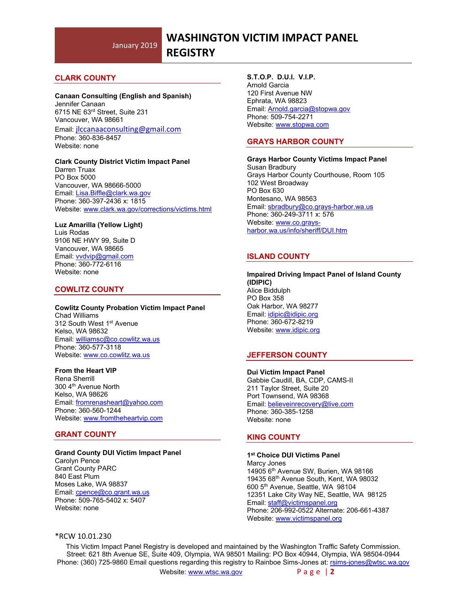# **CLARK COUNTY**

#### **Canaan Consulting (English and Spanish)**

Jennifer Canaan 6715 NE 63rd Street, Suite 231 Vancouver, WA 98661 Email: [jlccanaaconsulting@gmail.com](mailto:jlccanaaconsulting@gmail.com) Phone: 360-836-8457 Website: none

#### **Clark County District Victim Impact Panel**

Darren Truax PO Box 5000 Vancouver, WA 98666-5000 Email: [Lisa.Biffle@clark.wa.gov](mailto:Lisa.Biffle@clark.wa.gov) Phone: 360-397-2436 x: 1815 Website: [www.clark.wa.gov/corrections/victims.html](http://www.clark.wa.gov/corrections/victims.html)

#### **Luz Amarilla (Yellow Light)**

Luis Rodas 9106 NE HWY 99, Suite D Vancouver, WA 98665 Email: [vvdvip@gmail.com](mailto:vvdvip@gmail.com) Phone: 360-772-6116 Website: none

#### **COWLITZ COUNTY**

#### **Cowlitz County Probation Victim Impact Panel** Chad Williams 312 South West 1st Avenue Kelso, WA 98632 Email: [williamsc@co.cowlitz.wa.us](mailto:williamsc@co.cowlitz.wa.us) Phone: 360-577-3118 Website: [www.co.cowlitz.wa.us](http://www.co.cowlitz.wa.us/)

#### **From the Heart VIP**

Rena Sherrill 300 4th Avenue North Kelso, WA 98626 Email: [fromrenasheart@yahoo.com](mailto:fromrenasheart@yahoo.com) Phone: 360-560-1244 Website: [www.fromtheheartvip.com](http://www.fromtheheartvip.com/)

#### **GRANT COUNTY**

#### **Grand County DUI Victim Impact Panel**

Carolyn Pence Grant County PARC 840 East Plum Moses Lake, WA 98837 Email: [cpence@co.grant.wa.us](mailto:cpence@co.grant.wa.us) Phone: 509-765-5402 x: 5407 Website: none

#### **S.T.O.P. D.U.I. V.I.P.**

Arnold Garcia 120 First Avenue NW Ephrata, WA 98823 Email: [Arnold.garcia@stopwa.gov](mailto:Arnold.garcia@stopwa.gov) Phone: 509-754-2271 Website: [www.stopwa.com](http://www.stopwa.com/)

## **GRAYS HARBOR COUNTY**

**Grays Harbor County Victims Impact Panel** Susan Bradbury Grays Harbor County Courthouse, Room 105 102 West Broadway PO Box 630 Montesano, WA 98563 Email: [sbradbury@co.grays-harbor.wa.us](mailto:sbradbury@co.grays-harbor.wa.us) Phone: 360-249-3711 x: 576 Website: [www.co.grays](http://www.co.grays-harbor.wa.us/info/sheriff/DUI.htm)[harbor.wa.us/info/sheriff/DUI.htm](http://www.co.grays-harbor.wa.us/info/sheriff/DUI.htm)

# **ISLAND COUNTY**

**Impaired Driving Impact Panel of Island County (IDIPIC)** Alice Biddulph PO Box 358 Oak Harbor, WA 98277 Email: [idipic@idipic.org](mailto:idipic@idipic.org) Phone: 360-672-8219 Website: [www.idipic.org](http://www.idipic.org/)

#### **JEFFERSON COUNTY**

**Dui Victim Impact Panel** Gabbie Caudill, BA, CDP, CAMS-II 211 Taylor Street, Suite 20 Port Townsend, WA 98368 Email: [believeinrecovery@live.com](mailto:believeinrecovery@live.com) Phone: 360-385-1258 Website: none

#### **KING COUNTY**

# **1st Choice DUI Victims Panel**

Marcy Jones 14905 6th Avenue SW, Burien, WA 98166 19435 68th Avenue South, Kent, WA 98032 600 5th Avenue, Seattle, WA 98104 12351 Lake City Way NE, Seattle, WA 98125 Email: [staff@victimspanel.org](mailto:staff@victimspanel.org) Phone: 206-992-0522 Alternate: 206-661-4387 Website: [www.victimspanel.org](http://www.victimspanel.org/)

### \*RCW 10.01.230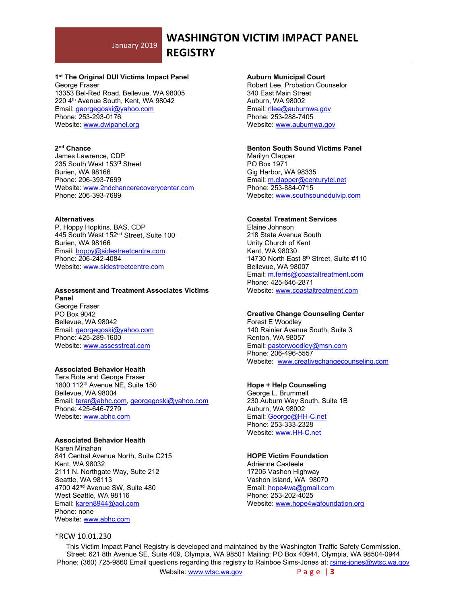# **WASHINGTON VICTIM IMPACT PANEL**

# **REGISTRY**

# **1st The Original DUI Victims Impact Panel**

George Fraser 13353 Bel-Red Road, Bellevue, WA 98005 220 4th Avenue South, Kent, WA 98042 Email: [georgegoski@yahoo.com](mailto:georgegoski@yahoo.com) Phone: 253-293-0176 Website: [www.dwipanel.org](http://www.dwipanel.org/)

## **2nd Chance**

James Lawrence, CDP 235 South West 153rd Street Burien, WA 98166 Phone: 206-393-7699 Website: www.2ndchancerecoverycenter.com Phone: 206-393-7699

#### **Alternatives**

P. Hoppy Hopkins, BAS, CDP 445 South West 152nd Street, Suite 100 Burien, WA 98166 Email: [hoppy@sidestreetcentre.com](mailto:hoppy@sidestreetcentre.com) Phone: 206-242-4084 Website: [www.sidestreetcentre.com](http://www.sidestreetcentre.com/)

#### **Assessment and Treatment Associates Victims Panel**

George Fraser PO Box 9042 Bellevue, WA 98042 Email: [georgegoski@yahoo.com](mailto:georgegoski@yahoo.com) Phone: 425-289-1600 Website: [www.assesstreat.com](http://www.assesstreat.com/)

## **Associated Behavior Health**

Tera Rote and George Fraser 1800 112th Avenue NE, Suite 150 Bellevue, WA 98004 Email: [terar@abhc.com,](mailto:terar@abhc.com) [georgegoski@yahoo.com](mailto:georgegoski@yahoo.com) Phone: 425-646-7279 Website: [www.abhc.com](http://www.abhc.com/)

# **Associated Behavior Health**

Karen Minahan 841 Central Avenue North, Suite C215 Kent, WA 98032 2111 N. Northgate Way, Suite 212 Seattle, WA 98113 4700 42nd Avenue SW, Suite 480 West Seattle, WA 98116 Email: [karen8944@aol.com](mailto:karen8944@aol.com) Phone: none Website: [www.abhc.com](http://www.abhc.com/)

#### **Auburn Municipal Court**

Robert Lee, Probation Counselor 340 East Main Street Auburn, WA 98002 Email: [rllee@auburnwa.gov](mailto:rllee@auburnwa.gov) Phone: 253-288-7405 Website: [www.auburnwa.gov](http://www.auburnwa.gov/)

#### **Benton South Sound Victims Panel**

Marilyn Clapper PO Box 1971 Gig Harbor, WA 98335 Email: [m.clapper@centurytel.net](mailto:m.clapper@centurytel.net) Phone: 253-884-0715 Website: [www.southsoundduivip.com](http://www.southsoundduivip.com/)

#### **Coastal Treatment Services**

Elaine Johnson 218 State Avenue South Unity Church of Kent Kent, WA 98030 14730 North East 8<sup>th</sup> Street, Suite #110 Bellevue, WA 98007 Email: [m.ferris@coastaltreatment.com](mailto:m.ferris@coastaltreatment.com) Phone: 425-646-2871 Website: [www.coastaltreatment.com](http://www.coastaltreatment.com/)

#### **Creative Change Counseling Center**

Forest E Woodley 140 Rainier Avenue South, Suite 3 Renton, WA 98057 Email: [pastorwoodley@msn.com](mailto:pastorwoodley@msn.com) Phone: 206-496-5557 Website: [www.creativechangecounseling.com](http://www.creativechangecounseling.com/)

#### **Hope + Help Counseling**

George L. Brummell 230 Auburn Way South, Suite 1B Auburn, WA 98002 Email: [George@HH-C.net](mailto:George@HH-C.net) Phone: 253-333-2328 Website: [www.HH-C.net](http://www.hh-c.net/)

#### **HOPE Victim Foundation**

Adrienne Casteele 17205 Vashon Highway Vashon Island, WA 98070 Email: [hope4wa@gmail.com](mailto:hope4wa@gmail.com) Phone: 253-202-4025 Website: [www.hope4wafoundation.org](http://www.hope4wafoundation.org/)

### \*RCW 10.01.230

This Victim Impact Panel Registry is developed and maintained by the Washington Traffic Safety Commission. Street: 621 8th Avenue SE, Suite 409, Olympia, WA 98501 Mailing: PO Box 40944, Olympia, WA 98504-0944 Phone: (360) 725-9860 Email questions regarding this registry to Rainboe Sims-Jones at: [rsims-jones@wtsc.wa.gov](mailto:rsims-jones@wtsc.wa.gov)

Website: [www.wtsc.wa.gov](http://www.wtsc.wa.gov/) Page | 3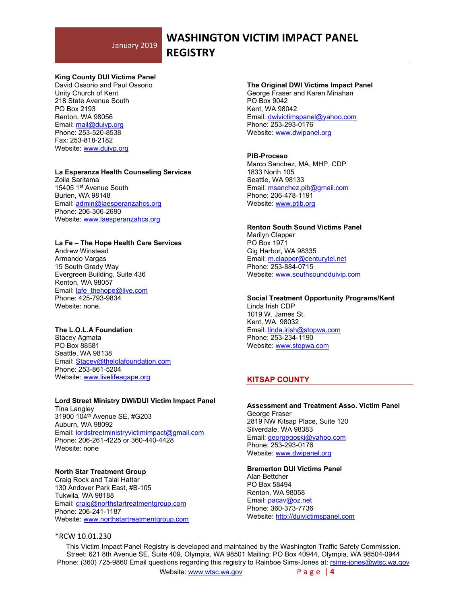# **WASHINGTON VICTIM IMPACT PANEL**

**REGISTRY**

## **King County DUI Victims Panel**

David Ossorio and Paul Ossorio Unity Church of Kent 218 State Avenue South PO Box 2193 Renton, WA 98056 Email: [mail@duivp.org](mailto:mail@duivp.org) Phone: 253-520-8538 Fax: 253-818-2182 Website: [www.duivp.org](http://www.duivp.org/)

#### **La Esperanza Health Counseling Services**

Zoila Saritama 15405 1st Avenue South Burien, WA 98148 Email: [admin@laesperanzahcs.org](mailto:admin@laesperanzahcs.org) Phone: 206-306-2690 Website: [www.laesperanzahcs.org](http://www.laesperanzahcs.org/)

# **La Fe – The Hope Health Care Services**

Andrew Winstead Armando Vargas 15 South Grady Way Evergreen Building, Suite 436 Renton, WA 98057 Email: [lafe\\_thehope@live.com](mailto:lafe_thehope@live.com) Phone: 425-793-9834 Website: none.

#### **The L.O.L.A Foundation**

Stacey Agmata PO Box 88581 Seattle, WA 98138 Email: [Stacey@thelolafoundation.com](mailto:Stacey@thelolafoundation.com) Phone: 253-861-5204 Website: [www.livelifeagape.org](http://www.livelifeagape.org/)

# **Lord Street Ministry DWI/DUI Victim Impact Panel**

Tina Langley 31900 104th Avenue SE, #G203 Auburn, WA 98092 Email: [lordstreetministryvictimimpact@gmail.com](mailto:lordstreetministryvictimimpact@gmail.com) Phone: 206-261-4225 or 360-440-4428 Website: none

#### **North Star Treatment Group**

Craig Rock and Talal Hattar 130 Andover Park East, #B-105 Tukwila, WA 98188 Email: [craig@northstartreatmentgroup.com](mailto:craig@northstartreatmentgroup.com) Phone: 206-241-1187 Website: [www.northstartreatmentgroup.com](http://www.northstartreatmentgroup.com/)

#### \*RCW 10.01.230

#### **The Original DWI Victims Impact Panel** George Fraser and Karen Minahan PO Box 9042 Kent, WA 98042 Email: [dwivictimspanel@yahoo.com](mailto:dwivictimspanel@yahoo.com) Phone: 253-293-0176 Website: [www.dwipanel.org](http://www.dwipanel.org/)

## **PIB-Proceso**

Marco Sanchez, MA, MHP, CDP 1833 North 105 Seattle, WA 98133 Email: [msanchez.pib@gmail.com](mailto:msanchez.pib@gmail.com) Phone: 206-478-1191 Website: [www.ptib.org](http://www.ptib.org/)

#### **Renton South Sound Victims Panel** Marilyn Clapper PO Box 1971 Gig Harbor, WA 98335 Email: [m.clapper@centurytel.net](mailto:m.clapper@centurytel.net) Phone: 253-884-0715 Website: [www.southsoundduivip.com](http://www.southsoundduivip.com/)

**Social Treatment Opportunity Programs/Kent** Linda Irish CDP 1019 W. James St. Kent, WA 98032

Email: [linda.irish@stopwa.com](mailto:linda.irish@stopwa.com) Phone: 253-234-1190 Website: [www.stopwa.com](http://www.stopwa.com/)

# **KITSAP COUNTY**

#### **Assessment and Treatment Asso. Victim Panel** George Fraser 2819 NW Kitsap Place, Suite 120 Silverdale, WA 98383 Email: [georgegoski@yahoo.com](mailto:georgegoski@yahoo.com) Phone: 253-293-0176 Website: [www.dwipanel.org](http://www.dwipanel.org/)

**Bremerton DUI Victims Panel**

Alan Bettcher PO Box 58494 Renton, WA 98058 Email: [pacav@oz.net](mailto:pacav@oz.net) Phone: 360-373-7736 Website: [http://duivictimspanel.com](http://duivictimspanel.com/)

This Victim Impact Panel Registry is developed and maintained by the Washington Traffic Safety Commission. Street: 621 8th Avenue SE, Suite 409, Olympia, WA 98501 Mailing: PO Box 40944, Olympia, WA 98504-0944 Phone: (360) 725-9860 Email questions regarding this registry to Rainboe Sims-Jones at: [rsims-jones@wtsc.wa.gov](mailto:rsims-jones@wtsc.wa.gov)

Website: [www.wtsc.wa.gov](http://www.wtsc.wa.gov/) Page | 4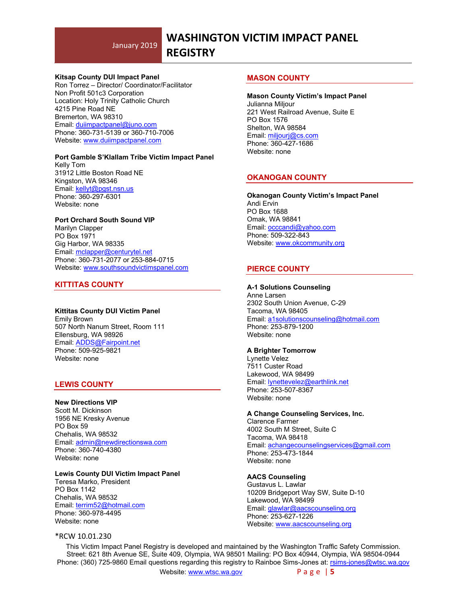# **WASHINGTON VICTIM IMPACT PANEL**

# **REGISTRY**

#### **Kitsap County DUI Impact Panel**

Ron Torrez – Director/ Coordinator/Facilitator Non Profit 501c3 Corporation Location: Holy Trinity Catholic Church 4215 Pine Road NE Bremerton, WA 98310 Email: [duiimpactpanel@juno.com](mailto:duiimpactpanel@juno.com) Phone: 360-731-5139 or 360-710-7006 Website: [www.duiimpactpanel.com](http://www.duiimpactpanel.com/)

#### **Port Gamble S'Klallam Tribe Victim Impact Panel**

Kelly Tom 31912 Little Boston Road NE Kingston, WA 98346 Email: [kellyt@pgst.nsn.us](mailto:kellyt@pgst.nsn.us) Phone: 360-297-6301 Website: none

#### **Port Orchard South Sound VIP**

Marilyn Clapper PO Box 1971 Gig Harbor, WA 98335 Email: [mclapper@centurytel.net](mailto:mclapper@centurytel.net) Phone: 360-731-2077 or 253-884-0715 Website: [www.southsoundvictimspanel.com](http://www.southsoundvictimspanel.com/)

# **KITTITAS COUNTY**

# **Kittitas County DUI Victim Panel**

Emily Brown 507 North Nanum Street, Room 111 Ellensburg, WA 98926 Email: [ADDS@Fairpoint.net](mailto:ADDS@Fairpoint.net) Phone: 509-925-9821 Website: none

# **LEWIS COUNTY**

**New Directions VIP** Scott M. Dickinson 1956 NE Kresky Avenue PO Box 59 Chehalis, WA 98532 Email: [admin@newdirectionswa.com](mailto:admin@newdirectionswa.com) Phone: 360-740-4380 Website: none

# **Lewis County DUI Victim Impact Panel**

Teresa Marko, President PO Box 1142 Chehalis, WA 98532 Email: [terrim52@hotmail.com](mailto:terrim52@hotmail.com) Phone: 360-978-4495 Website: none

#### \*RCW 10.01.230

## **MASON COUNTY**

# **Mason County Victim's Impact Panel**

Julianna Miljour 221 West Railroad Avenue, Suite E PO Box 1576 Shelton, WA 98584 Email: [miljourj@cs.com](mailto:miljourj@cs.com) Phone: 360-427-1686 Website: none

# **OKANOGAN COUNTY**

**Okanogan County Victim's Impact Panel** Andi Ervin PO Box 1688 Omak, WA 98841 Email: [occcandi@yahoo.com](mailto:occcandi@yahoo.com) Phone: 509-322-843 Website: [www.okcommunity.org](http://www.okcommunity.org/)

# **PIERCE COUNTY**

# **A-1 Solutions Counseling**

Anne Larsen 2302 South Union Avenue, C-29 Tacoma, WA 98405 Email: [a1solutionscounseling@hotmail.com](mailto:a1solutionscounseling@hotmail.com) Phone: 253-879-1200 Website: none

# **A Brighter Tomorrow**

Lynette Velez 7511 Custer Road Lakewood, WA 98499 Email: [lynettevelez@earthlink.net](mailto:lynettevelez@earthlink.net) Phone: 253-507-8367 Website: none

#### **A Change Counseling Services, Inc.**

Clarence Farmer 4002 South M Street, Suite C Tacoma, WA 98418 Email: [achangecounselingservices@gmail.com](mailto:achangecounselingservices@gmail.com) Phone: 253-473-1844 Website: none

#### **AACS Counseling**

Gustavus L. Lawlar 10209 Bridgeport Way SW, Suite D-10 Lakewood, WA 98499 Email: [glawlar@aacscounseling.org](mailto:glawlar@aacscounseling.org) Phone: 253-627-1226 Website: [www.aacscounseling.org](http://www.aacscounseling.org/)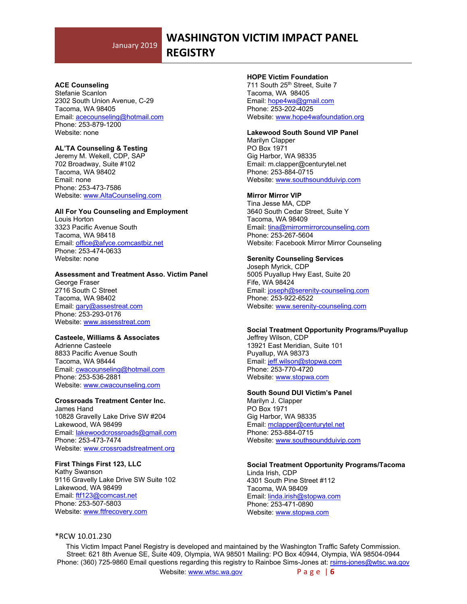# **WASHINGTON VICTIM IMPACT PANEL**

**REGISTRY**

## **ACE Counseling**

Stefanie Scanlon 2302 South Union Avenue, C-29 Tacoma, WA 98405 Email: [acecounseling@hotmail.com](mailto:acecounseling@hotmail.com) Phone: 253-879-1200 Website: none

# **AL'TA Counseling & Testing**

Jeremy M. Wekell, CDP, SAP 702 Broadway, Suite #102 Tacoma, WA 98402 Email: none Phone: 253-473-7586 Website: [www.AltaCounseling.com](http://www.altacounseling.com/)

#### **All For You Counseling and Employment**

Louis Horton 3323 Pacific Avenue South Tacoma, WA 98418 Email: [office@afyce.comcastbiz.net](mailto:office@afyce.comcastbiz.net) Phone: 253-474-0633 Website: none

#### **Assessment and Treatment Asso. Victim Panel**

George Fraser 2716 South C Street Tacoma, WA 98402 Email: [gary@assestreat.com](mailto:gary@assestreat.com) Phone: 253-293-0176 Website: [www.assesstreat.com](http://www.assesstreat.com/)

#### **Casteele, Williams & Associates**

Adrienne Casteele 8833 Pacific Avenue South Tacoma, WA 98444 Email: [cwacounseling@hotmail.com](mailto:cwacounseling@hotmail.com) Phone: 253-536-2881 Website: [www.cwacounseling.com](http://www.cwacounseling.com/)

#### **Crossroads Treatment Center Inc.**

James Hand 10828 Gravelly Lake Drive SW #204 Lakewood, WA 98499 Email: [lakewoodcrossroads@gmail.com](mailto:lakewoodcrossroads@gmail.com) Phone: 253-473-7474 Website: [www.crossroadstreatment.org](http://www.crossroadstreatment.org/)

#### **First Things First 123, LLC**

Kathy Swanson 9116 Gravelly Lake Drive SW Suite 102 Lakewood, WA 98499 Email: [ftf123@comcast.net](mailto:ftf123@comcast.net) Phone: 253-507-5803 Website: [www.ftfrecovery.com](http://www.ftfrecovery.com/)

#### **HOPE Victim Foundation**

711 South 25<sup>th</sup> Street, Suite 7 Tacoma, WA 98405 Email: [hope4wa@gmail.com](mailto:hope4wa@gmail.com) Phone: 253-202-4025 Website: [www.hope4wafoundation.org](http://www.hope4wafoundation.org/)

#### **Lakewood South Sound VIP Panel**

Marilyn Clapper PO Box 1971 Gig Harbor, WA 98335 Email: m.clapper@centurytel.net Phone: 253-884-0715 Website: [www.southsoundduivip.com](http://www.southsoundduivip.com/)

#### **Mirror Mirror VIP**

Tina Jesse MA, CDP 3640 South Cedar Street, Suite Y Tacoma, WA 98409 Email: [tina@mirrormirrorcounseling.com](mailto:tina@mirrormirrorcounseling.com) Phone: 253-267-5604 Website: Facebook Mirror Mirror Counseling

#### **Serenity Counseling Services**

Joseph Myrick, CDP 5005 Puyallup Hwy East, Suite 20 Fife, WA 98424 Email: [joseph@serenity-counseling.com](mailto:joseph@serenity-counseling.com) Phone: 253-922-6522 Website: [www.serenity-counseling.com](http://www.serenity-counseling.com/)

#### **Social Treatment Opportunity Programs/Puyallup**

Jeffrey Wilson, CDP 13921 East Meridian, Suite 101 Puyallup, WA 98373 Email: jeff.wilson@stopwa.com Phone: 253-770-4720 Website: [www.stopwa.com](http://www.stopwa.com/)

#### **South Sound DUI Victim's Panel**

Marilyn J. Clapper PO Box 1971 Gig Harbor, WA 98335 Email: [mclapper@centurytel.net](mailto:mclapper@centurytel.net) Phone: 253-884-0715 Website: [www.southsoundduivip.com](http://www.southsoundduivip.com/)

#### **Social Treatment Opportunity Programs/Tacoma**

Linda Irish, CDP 4301 South Pine Street #112 Tacoma, WA 98409 Email: [linda.irish@stopwa.com](mailto:linda.irish@stopwa.com) Phone: 253-471-0890 Website: [www.stopwa.com](http://www.stopwa.com/)

# \*RCW 10.01.230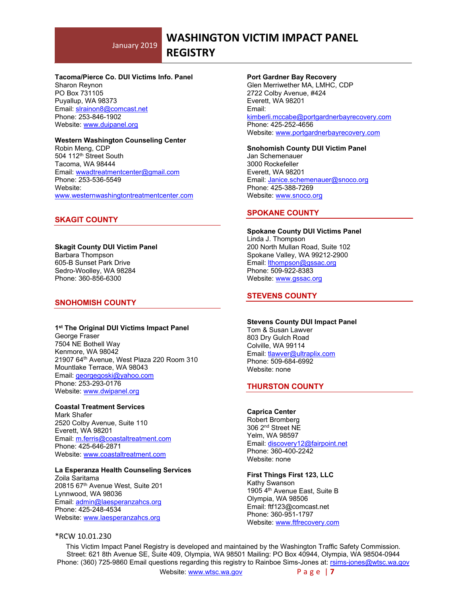# **WASHINGTON VICTIM IMPACT PANEL**

# **REGISTRY**

#### **Tacoma/Pierce Co. DUI Victims Info. Panel**

Sharon Reynon PO Box 731105 Puyallup, WA 98373 Email: [slrainon8@comcast.net](mailto:slrainon8@comcast.net) Phone: 253-846-1902 Website: [www.duipanel.org](http://www.duipanel.org/)

#### **Western Washington Counseling Center**

Robin Meng, CDP 504 112th Street South Tacoma, WA 98444 Email: [wwadtreatmentcenter@gmail.com](mailto:wwadtreatmentcenter@gmail.com) Phone: 253-536-5549 Website: [www.westernwashingtontreatmentcenter.com](http://www.westernwashingtontreatmentcenter.com/)

# **SKAGIT COUNTY**

#### **Skagit County DUI Victim Panel** Barbara Thompson 605-B Sunset Park Drive

Sedro-Woolley, WA 98284 Phone: 360-856-6300

#### **SNOHOMISH COUNTY**

# **1st The Original DUI Victims Impact Panel**

George Fraser 7504 NE Bothell Way Kenmore, WA 98042 21907 64th Avenue, West Plaza 220 Room 310 Mountlake Terrace, WA 98043 Email: [georgegoski@yahoo.com](mailto:georgegoski@yahoo.com) Phone: 253-293-0176 Website: [www.dwipanel.org](http://www.dwipanel.org/)

# **Coastal Treatment Services**

Mark Shafer 2520 Colby Avenue, Suite 110 Everett, WA 98201 Email: [m.ferris@coastaltreatment.com](mailto:m.ferris@coastaltreatment.com) Phone: 425-646-2871 Website: [www.coastaltreatment.com](http://www.coastaltreatment.com/)

### **La Esperanza Health Counseling Services**

Zoila Saritama 20815 67th Avenue West, Suite 201 Lynnwood, WA 98036 Email: [admin@laesperanzahcs.org](mailto:admin@laesperanzahcs.org) Phone: 425-248-4534 Website: [www.laesperanzahcs.org](http://www.laesperanzahcs.org/)

#### \*RCW 10.01.230

#### **Port Gardner Bay Recovery**

Glen Merriwether MA, LMHC, CDP 2722 Colby Avenue, #424 Everett, WA 98201 Email: [kimberli.mccabe@portgardnerbayrecovery.com](mailto:kimberli.mccabe@portgardnerbayrecovery.com) Phone: 425-252-4656 Website: [www.p](http://www./)ortgardnerbayrecovery.com

**Snohomish County DUI Victim Panel** Jan Schemenauer 3000 Rockefeller Everett, WA 98201 Email: [Janice.schemenauer@snoco.org](mailto:Janice.schemenauer@snoco.org) Phone: 425-388-7269 Website: [www.snoco.org](http://www.snoco.org/)

# **SPOKANE COUNTY**

**Spokane County DUI Victims Panel** Linda J. Thompson 200 North Mullan Road, Suite 102 Spokane Valley, WA 99212-2900 Email: [lthompson@gssac.org](mailto:lthompson@gssac.org) Phone: 509-922-8383 Website: [www.gssac.org](http://www.gssac.org/)

# **STEVENS COUNTY**

#### **Stevens County DUI Impact Panel**

Tom & Susan Lawver 803 Dry Gulch Road Colville, WA 99114 Email: [tlawver@ultraplix.com](mailto:tlawver@ultraplix.com) Phone: 509-684-6992 Website: none

# **THURSTON COUNTY**

#### **Caprica Center**

Robert Bromberg 306 2nd Street NE Yelm, WA 98597 Email: [discovery12@fairpoint.net](mailto:discovery12@fairpoint.net) Phone: 360-400-2242 Website: none

#### **First Things First 123, LLC**

Kathy Swanson 1905 4th Avenue East, Suite B Olympia, WA 98506 Email: ftf123@comcast.net Phone: 360-951-1797 Website: [www.ftfrecovery.com](http://www.ftfrecovery.com/)

This Victim Impact Panel Registry is developed and maintained by the Washington Traffic Safety Commission. Street: 621 8th Avenue SE, Suite 409, Olympia, WA 98501 Mailing: PO Box 40944, Olympia, WA 98504-0944 Phone: (360) 725-9860 Email questions regarding this registry to Rainboe Sims-Jones at: [rsims-jones@wtsc.wa.gov](mailto:rsims-jones@wtsc.wa.gov)

Website: [www.wtsc.wa.gov](http://www.wtsc.wa.gov/) Page | **7**